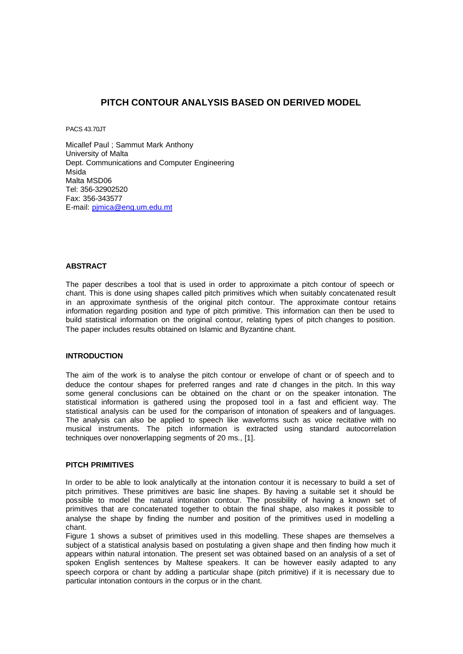## **PITCH CONTOUR ANALYSIS BASED ON DERIVED MODEL**

PACS 43.70JT

Micallef Paul ; Sammut Mark Anthony University of Malta Dept. Communications and Computer Engineering Msida Malta MSD06 Tel: 356-32902520 Fax: 356-343577 E-mail: pjmica@eng.um.edu.mt

#### **ABSTRACT**

The paper describes a tool that is used in order to approximate a pitch contour of speech or chant. This is done using shapes called pitch primitives which when suitably concatenated result in an approximate synthesis of the original pitch contour. The approximate contour retains information regarding position and type of pitch primitive. This information can then be used to build statistical information on the original contour, relating types of pitch changes to position. The paper includes results obtained on Islamic and Byzantine chant.

#### **INTRODUCTION**

The aim of the work is to analyse the pitch contour or envelope of chant or of speech and to deduce the contour shapes for preferred ranges and rate of changes in the pitch. In this way some general conclusions can be obtained on the chant or on the speaker intonation. The statistical information is gathered using the proposed tool in a fast and efficient way. The statistical analysis can be used for the comparison of intonation of speakers and of languages. The analysis can also be applied to speech like waveforms such as voice recitative with no musical instruments. The pitch information is extracted using standard autocorrelation techniques over nonoverlapping segments of 20 ms., [1].

#### **PITCH PRIMITIVES**

In order to be able to look analytically at the intonation contour it is necessary to build a set of pitch primitives. These primitives are basic line shapes. By having a suitable set it should be possible to model the natural intonation contour. The possibility of having a known set of primitives that are concatenated together to obtain the final shape, also makes it possible to analyse the shape by finding the number and position of the primitives used in modelling a chant.

Figure 1 shows a subset of primitives used in this modelling. These shapes are themselves a subject of a statistical analysis based on postulating a given shape and then finding how much it appears within natural intonation. The present set was obtained based on an analysis of a set of spoken English sentences by Maltese speakers. It can be however easily adapted to any speech corpora or chant by adding a particular shape (pitch primitive) if it is necessary due to particular intonation contours in the corpus or in the chant.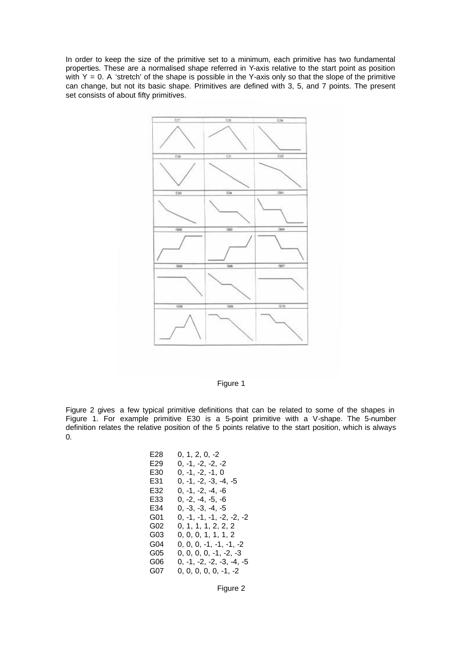In order to keep the size of the primitive set to a minimum, each primitive has two fundamental properties. These are a normalised shape referred in Y-axis relative to the start point as position with  $Y = 0$ . A 'stretch' of the shape is possible in the Y-axis only so that the slope of the primitive can change, but not its basic shape. Primitives are defined with 3, 5, and 7 points. The present set consists of about fifty primitives.



Figure 1

Figure 2 gives a few typical primitive definitions that can be related to some of the shapes in Figure 1. For example primitive E30 is a 5-point primitive with a V-shape. The 5-number definition relates the relative position of the 5 points relative to the start position, which is always 0.

| E28 | $0, 1, 2, 0, -2$            |
|-----|-----------------------------|
| E29 | 0, -1, -2, -2, -2           |
| E30 | 0, -1, -2, -1, 0            |
| E31 | $0, -1, -2, -3, -4, -5$     |
| E32 | $0, -1, -2, -4, -6$         |
| E33 | $0, -2, -4, -5, -6$         |
| E34 | $0, -3, -3, -4, -5$         |
| G01 | $0, -1, -1, -1, -2, -2, -2$ |
| G02 | 0, 1, 1, 1, 2, 2, 2         |
| G03 | 0, 0, 0, 1, 1, 1, 2         |
| G04 | $0, 0, 0, -1, -1, -1, -2$   |
| G05 | $0, 0, 0, 0, -1, -2, -3$    |
| G06 | $0, -1, -2, -2, -3, -4, -5$ |
| G07 | $0, 0, 0, 0, 0, -1, -2$     |

Figure 2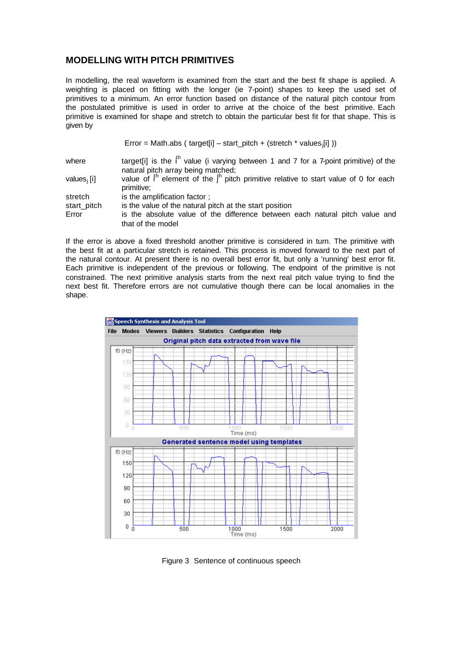# **MODELLING WITH PITCH PRIMITIVES**

In modelling, the real waveform is examined from the start and the best fit shape is applied. A weighting is placed on fitting with the longer (ie 7-point) shapes to keep the used set of primitives to a minimum. An error function based on distance of the natural pitch contour from the postulated primitive is used in order to arrive at the choice of the best primitive. Each primitive is examined for shape and stretch to obtain the particular best fit for that shape. This is given by

| Error = Math.abs ( target[i] – start_pitch + (stretch * values <sub>j</sub> [i] )) |  |  |  |  |
|------------------------------------------------------------------------------------|--|--|--|--|
|------------------------------------------------------------------------------------|--|--|--|--|

| where       | target[i] is the $ih$ value (i varying between 1 and 7 for a 7-point primitive) of the  |
|-------------|-----------------------------------------------------------------------------------------|
|             | natural pitch array being matched;                                                      |
| values; [i] | value of $ih$ element of the $ih$ pitch primitive relative to start value of 0 for each |

| .           |                                                                              |
|-------------|------------------------------------------------------------------------------|
|             | primitive;                                                                   |
| stretch     | is the amplification factor:                                                 |
| start_pitch | is the value of the natural pitch at the start position                      |
| Error       | is the absolute value of the difference between each natural pitch value and |
|             | that of the model                                                            |

If the error is above a fixed threshold another primitive is considered in turn. The primitive with the best fit at a particular stretch is retained. This process is moved forward to the next part of the natural contour. At present there is no overall best error fit, but only a 'running' best error fit. Each primitive is independent of the previous or following. The endpoint of the primitive is not constrained. The next primitive analysis starts from the next real pitch value trying to find the next best fit. Therefore errors are not cumulative though there can be local anomalies in the shape.



Figure 3 Sentence of continuous speech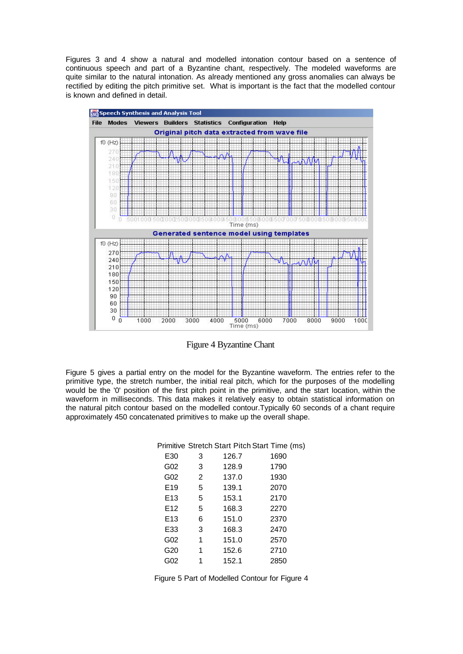Figures 3 and 4 show a natural and modelled intonation contour based on a sentence of continuous speech and part of a Byzantine chant, respectively. The modeled waveforms are quite similar to the natural intonation. As already mentioned any gross anomalies can always be rectified by editing the pitch primitive set. What is important is the fact that the modelled contour is known and defined in detail.



Figure 4 Byzantine Chant

Figure 5 gives a partial entry on the model for the Byzantine waveform. The entries refer to the primitive type, the stretch number, the initial real pitch, which for the purposes of the modelling would be the '0' position of the first pitch point in the primitive, and the start location, within the waveform in milliseconds. This data makes it relatively easy to obtain statistical information on the natural pitch contour based on the modelled contour.Typically 60 seconds of a chant require approximately 450 concatenated primitives to make up the overall shape.

|                 |   |       | Primitive Stretch Start Pitch Start Time (ms) |
|-----------------|---|-------|-----------------------------------------------|
| E30             | 3 | 126.7 | 1690                                          |
| G02             | 3 | 128.9 | 1790                                          |
| G <sub>02</sub> | 2 | 137.0 | 1930                                          |
| E <sub>19</sub> | 5 | 139.1 | 2070                                          |
| E <sub>13</sub> | 5 | 153.1 | 2170                                          |
| E <sub>12</sub> | 5 | 168.3 | 2270                                          |
| E <sub>13</sub> | 6 | 151.0 | 2370                                          |
| E33             | 3 | 168.3 | 2470                                          |
| G02             | 1 | 151.0 | 2570                                          |
| G20             | 1 | 152.6 | 2710                                          |
| G02             |   | 152.1 | 2850                                          |

Figure 5 Part of Modelled Contour for Figure 4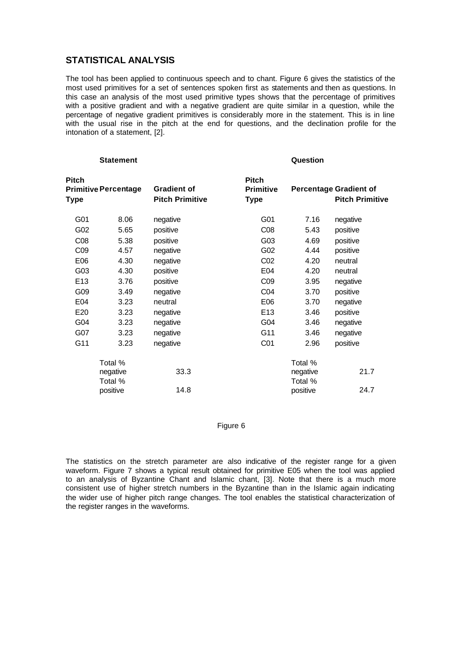# **STATISTICAL ANALYSIS**

The tool has been applied to continuous speech and to chant. Figure 6 gives the statistics of the most used primitives for a set of sentences spoken first as statements and then as questions. In this case an analysis of the most used primitive types shows that the percentage of primitives with a positive gradient and with a negative gradient are quite similar in a question, while the percentage of negative gradient primitives is considerably more in the statement. This is in line with the usual rise in the pitch at the end for questions, and the declination profile for the intonation of a statement, [2].

| <b>Statement</b> |                             |                                              | <b>Question</b>                                 |                     |                                                         |  |
|------------------|-----------------------------|----------------------------------------------|-------------------------------------------------|---------------------|---------------------------------------------------------|--|
| Pitch<br>Type    | <b>Primitive Percentage</b> | <b>Gradient of</b><br><b>Pitch Primitive</b> | <b>Pitch</b><br><b>Primitive</b><br><b>Type</b> |                     | <b>Percentage Gradient of</b><br><b>Pitch Primitive</b> |  |
| G01              | 8.06                        | negative                                     | G01                                             | 7.16                | negative                                                |  |
| G02              | 5.65                        | positive                                     | CO8                                             | 5.43                | positive                                                |  |
| CO8              | 5.38                        | positive                                     | G03                                             | 4.69                | positive                                                |  |
| CO <sub>9</sub>  | 4.57                        | negative                                     | G02                                             | 4.44                | positive                                                |  |
| E06              | 4.30                        | negative                                     | CO <sub>2</sub>                                 | 4.20                | neutral                                                 |  |
| G03              | 4.30                        | positive                                     | E04                                             | 4.20                | neutral                                                 |  |
| E <sub>13</sub>  | 3.76                        | positive                                     | CO <sub>9</sub>                                 | 3.95                | negative                                                |  |
| G09              | 3.49                        | negative                                     | CO <sub>4</sub>                                 | 3.70                | positive                                                |  |
| E04              | 3.23                        | neutral                                      | E06                                             | 3.70                | negative                                                |  |
| E20              | 3.23                        | negative                                     | E <sub>13</sub>                                 | 3.46                | positive                                                |  |
| G04              | 3.23                        | negative                                     | G04                                             | 3.46                | negative                                                |  |
| G07              | 3.23                        | negative                                     | G11                                             | 3.46                | negative                                                |  |
| G11              | 3.23                        | negative                                     | C <sub>01</sub>                                 | 2.96                | positive                                                |  |
|                  | Total %                     |                                              |                                                 | Total %             |                                                         |  |
|                  | negative<br>Total %         | 33.3                                         |                                                 | negative<br>Total % | 21.7                                                    |  |
|                  | positive                    | 14.8                                         |                                                 | positive            | 24.7                                                    |  |

## Figure 6

The statistics on the stretch parameter are also indicative of the register range for a given waveform. Figure 7 shows a typical result obtained for primitive E05 when the tool was applied to an analysis of Byzantine Chant and Islamic chant, [3]. Note that there is a much more consistent use of higher stretch numbers in the Byzantine than in the Islamic again indicating the wider use of higher pitch range changes. The tool enables the statistical characterization of the register ranges in the waveforms.